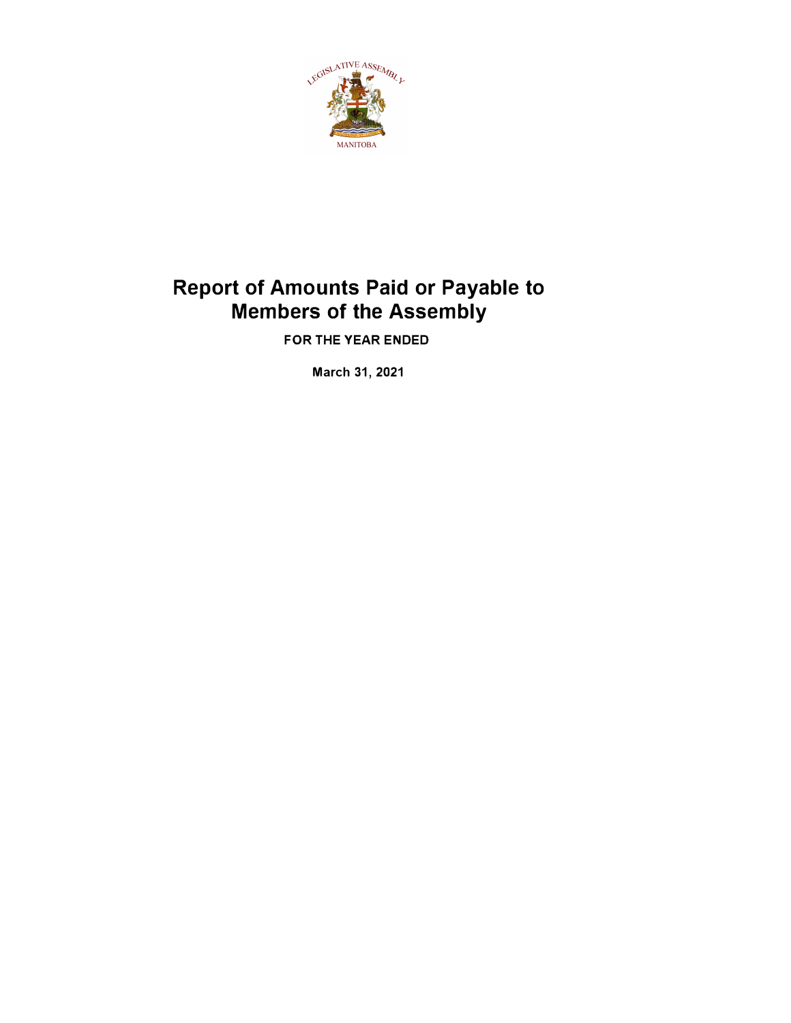

# **Report of Amounts Paid or Payable to Members of the Assembly**

**FOR THE YEAR ENDED** 

**March 31, 2021**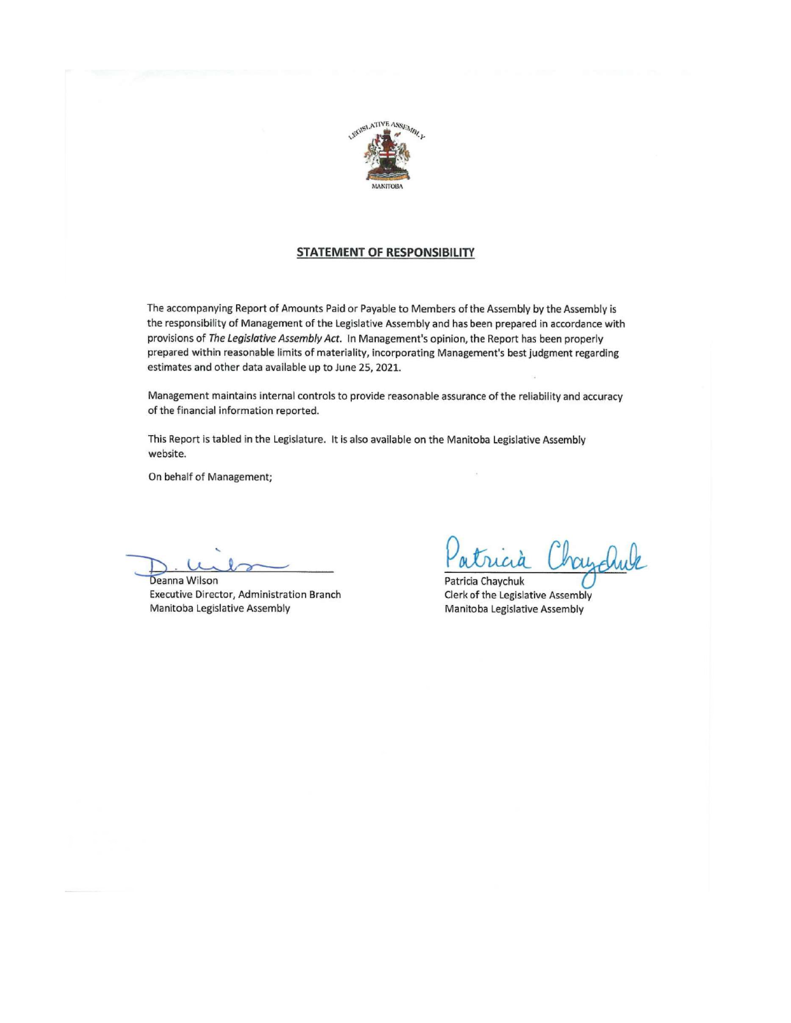

#### **STATEMENT OF RESPONSIBILITY**

The accompanying Report of Amounts Paid or Payable to Members of the Assembly by the Assembly is the responsibility of Management of the Legislative Assembly and has been prepared in accordance with provisions of The Legislative Assembly Act. In Management's opinion, the Report has been properly prepared within reasonable limits of materiality, incorporating Management's best judgment regarding estimates and other data available up to June 25, 2021.

Management maintains internal controls to provide reasonable assurance of the reliability and accuracy of the financial information reported.

This Report is tabled in the Legislature. It is also available on the Manitoba Legislative Assembly website.

On behalf of Management;

Deanna Wilson Executive Director, Administration Branch Manitoba Legislative Assembly

Patricia Chaychuk Clerk of the Legislative Assembly Manitoba Legislative Assembly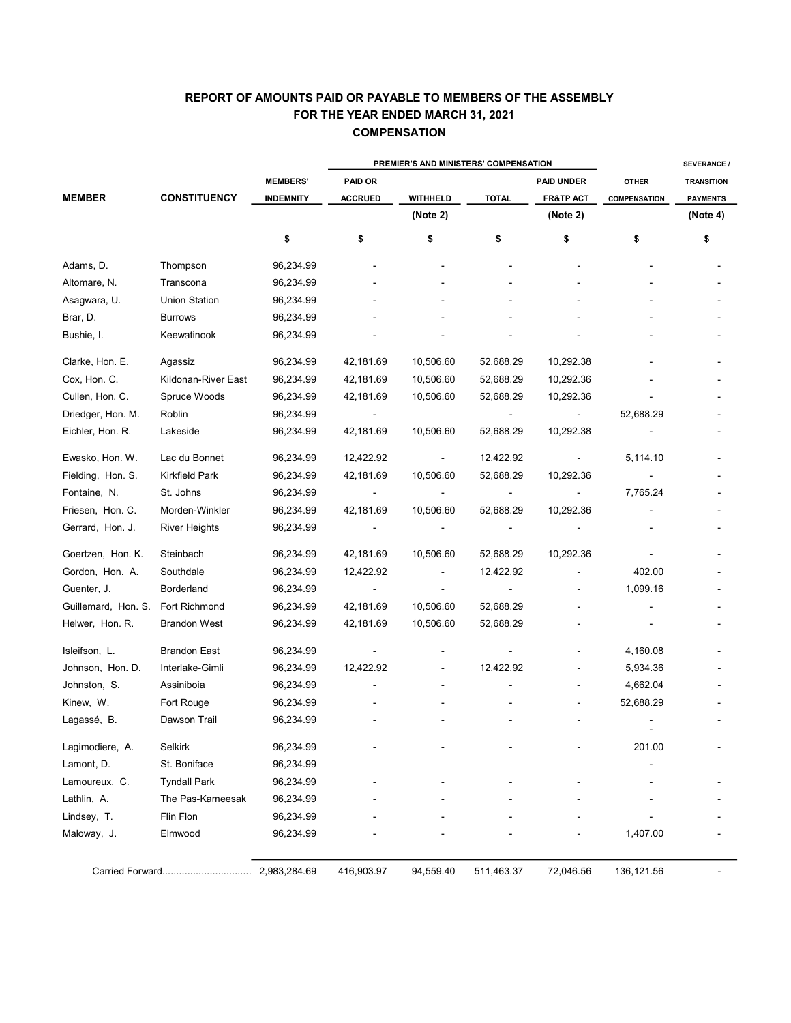## **COMPENSATION** REPORT OF AMOUNTS PAID OR PAYABLE TO MEMBERS OF THE ASSEMBLY FOR THE YEAR ENDED MARCH 31, 2021

|                     |                      | PREMIER'S AND MINISTERS' COMPENSATION |                |                 |                |                      |                     | <b>SEVERANCE /</b> |  |
|---------------------|----------------------|---------------------------------------|----------------|-----------------|----------------|----------------------|---------------------|--------------------|--|
|                     |                      | <b>MEMBERS'</b>                       | <b>PAID OR</b> |                 |                | <b>PAID UNDER</b>    | <b>OTHER</b>        | <b>TRANSITION</b>  |  |
| <b>MEMBER</b>       | <b>CONSTITUENCY</b>  | <b>INDEMNITY</b>                      | <b>ACCRUED</b> | <b>WITHHELD</b> | <b>TOTAL</b>   | <b>FR&amp;TP ACT</b> | <b>COMPENSATION</b> | <b>PAYMENTS</b>    |  |
|                     |                      |                                       |                | (Note 2)        |                | (Note 2)             |                     | (Note 4)           |  |
|                     |                      | \$                                    | \$             | \$              | \$             | \$                   | \$                  | \$                 |  |
| Adams, D.           | Thompson             | 96,234.99                             |                |                 |                |                      |                     |                    |  |
| Altomare, N.        | Transcona            | 96,234.99                             |                |                 |                |                      |                     |                    |  |
| Asagwara, U.        | <b>Union Station</b> | 96,234.99                             |                |                 |                |                      |                     |                    |  |
| Brar, D.            | <b>Burrows</b>       | 96,234.99                             |                |                 |                |                      |                     |                    |  |
| Bushie, I.          | Keewatinook          | 96,234.99                             |                |                 |                |                      |                     |                    |  |
| Clarke, Hon. E.     | Agassiz              | 96,234.99                             | 42,181.69      | 10,506.60       | 52,688.29      | 10,292.38            |                     |                    |  |
| Cox, Hon. C.        | Kildonan-River East  | 96,234.99                             | 42,181.69      | 10,506.60       | 52,688.29      | 10,292.36            |                     |                    |  |
| Cullen, Hon. C.     | Spruce Woods         | 96,234.99                             | 42,181.69      | 10,506.60       | 52,688.29      | 10,292.36            |                     |                    |  |
| Driedger, Hon. M.   | Roblin               | 96,234.99                             |                |                 |                | $\blacksquare$       | 52,688.29           |                    |  |
| Eichler, Hon. R.    | Lakeside             | 96,234.99                             | 42,181.69      | 10,506.60       | 52,688.29      | 10,292.38            |                     |                    |  |
| Ewasko, Hon. W.     | Lac du Bonnet        | 96,234.99                             | 12,422.92      |                 | 12,422.92      | ÷,                   | 5,114.10            |                    |  |
| Fielding, Hon. S.   | Kirkfield Park       | 96,234.99                             | 42,181.69      | 10,506.60       | 52,688.29      | 10,292.36            |                     |                    |  |
| Fontaine, N.        | St. Johns            | 96,234.99                             | $\blacksquare$ |                 | $\overline{a}$ | $\blacksquare$       | 7,765.24            |                    |  |
| Friesen, Hon. C.    | Morden-Winkler       | 96,234.99                             | 42,181.69      | 10,506.60       | 52,688.29      | 10,292.36            |                     |                    |  |
| Gerrard, Hon. J.    | River Heights        | 96,234.99                             |                |                 |                |                      |                     |                    |  |
| Goertzen, Hon. K.   | Steinbach            | 96,234.99                             | 42,181.69      | 10,506.60       | 52,688.29      | 10,292.36            |                     |                    |  |
| Gordon, Hon. A.     | Southdale            | 96,234.99                             | 12,422.92      |                 | 12,422.92      |                      | 402.00              |                    |  |
| Guenter, J.         | Borderland           | 96,234.99                             | $\blacksquare$ |                 | $\blacksquare$ |                      | 1,099.16            |                    |  |
| Guillemard, Hon. S. | Fort Richmond        | 96,234.99                             | 42,181.69      | 10,506.60       | 52,688.29      |                      |                     |                    |  |
| Helwer, Hon. R.     | <b>Brandon West</b>  | 96,234.99                             | 42,181.69      | 10,506.60       | 52,688.29      |                      |                     |                    |  |
| Isleifson, L.       | <b>Brandon East</b>  | 96,234.99                             | $\blacksquare$ |                 |                |                      | 4,160.08            |                    |  |
| Johnson, Hon. D.    | Interlake-Gimli      | 96,234.99                             | 12,422.92      |                 | 12,422.92      |                      | 5,934.36            |                    |  |
| Johnston, S.        | Assiniboia           | 96,234.99                             |                |                 |                |                      | 4,662.04            |                    |  |
| Kinew, W.           | Fort Rouge           | 96,234.99                             |                |                 |                |                      | 52,688.29           |                    |  |
| Lagassé, B.         | Dawson Trail         | 96,234.99                             |                |                 |                |                      |                     |                    |  |
| Lagimodiere, A.     | Selkirk              | 96,234.99                             |                |                 |                |                      | 201.00              |                    |  |
| Lamont, D.          | St. Boniface         | 96,234.99                             |                |                 |                |                      |                     |                    |  |
| Lamoureux, C.       | <b>Tyndall Park</b>  | 96,234.99                             |                |                 |                |                      |                     |                    |  |
| Lathlin, A.         | The Pas-Kameesak     | 96,234.99                             |                |                 |                |                      |                     |                    |  |
| Lindsey, T.         | Flin Flon            | 96,234.99                             |                |                 |                |                      |                     |                    |  |
| Maloway, J.         | Elmwood              | 96,234.99                             |                |                 |                |                      | 1,407.00            |                    |  |
|                     | Carried Forward      | 2,983,284.69                          | 416,903.97     | 94,559.40       | 511,463.37     | 72,046.56            | 136, 121.56         |                    |  |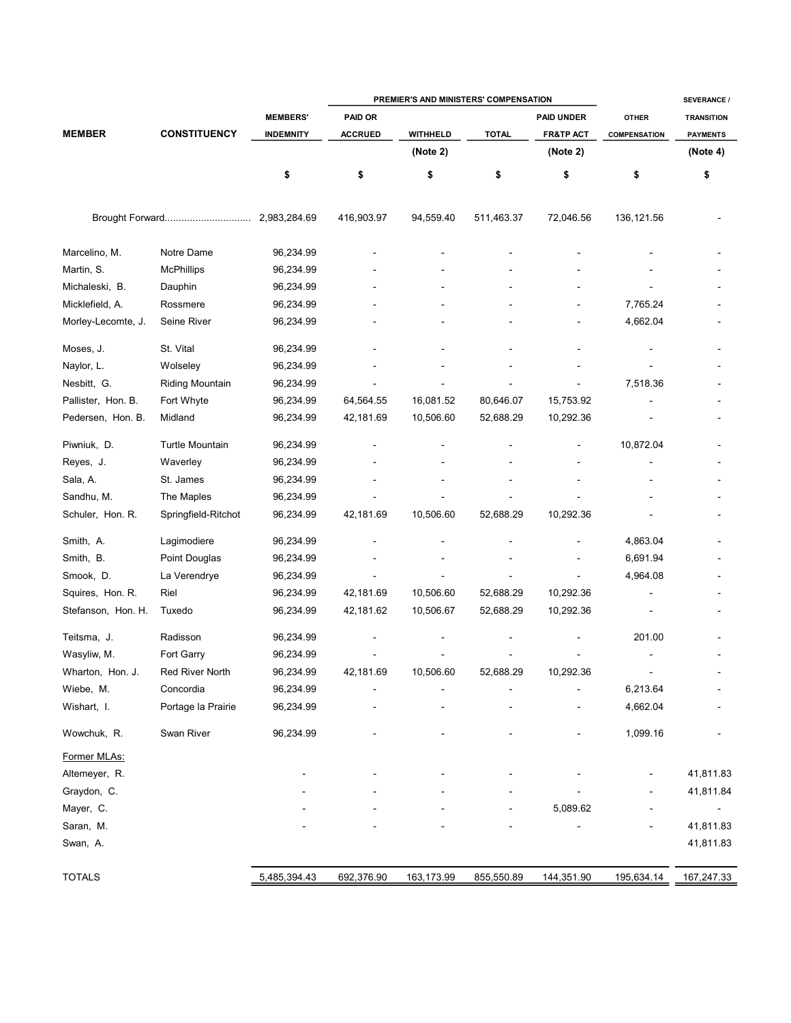|                    |                        |                  | PREMIER'S AND MINISTERS' COMPENSATION |                 |              |                      |                     | <b>SEVERANCE /</b> |  |
|--------------------|------------------------|------------------|---------------------------------------|-----------------|--------------|----------------------|---------------------|--------------------|--|
|                    |                        | <b>MEMBERS'</b>  | PAID OR                               |                 |              | <b>PAID UNDER</b>    | <b>OTHER</b>        | <b>TRANSITION</b>  |  |
| <b>MEMBER</b>      | <b>CONSTITUENCY</b>    | <b>INDEMNITY</b> | <b>ACCRUED</b>                        | <b>WITHHELD</b> | <b>TOTAL</b> | <b>FR&amp;TP ACT</b> | <b>COMPENSATION</b> | <b>PAYMENTS</b>    |  |
|                    |                        |                  |                                       | (Note 2)        |              | (Note 2)             |                     | (Note 4)           |  |
|                    |                        | \$               | \$                                    | \$              | \$           | \$                   | \$                  | \$                 |  |
|                    |                        |                  | 416,903.97                            | 94,559.40       | 511,463.37   | 72,046.56            | 136, 121.56         |                    |  |
| Marcelino, M.      | Notre Dame             | 96,234.99        |                                       |                 |              |                      |                     |                    |  |
| Martin, S.         | <b>McPhillips</b>      | 96,234.99        |                                       |                 |              |                      |                     |                    |  |
| Michaleski, B.     | Dauphin                | 96,234.99        |                                       |                 |              |                      |                     |                    |  |
| Micklefield, A.    | Rossmere               | 96,234.99        |                                       |                 |              |                      | 7,765.24            |                    |  |
| Morley-Lecomte, J. | Seine River            | 96,234.99        |                                       |                 |              |                      | 4,662.04            |                    |  |
| Moses, J.          | St. Vital              | 96,234.99        |                                       |                 |              |                      |                     |                    |  |
| Naylor, L.         | Wolseley               | 96,234.99        |                                       |                 |              |                      |                     |                    |  |
| Nesbitt, G.        | <b>Riding Mountain</b> | 96,234.99        |                                       |                 |              |                      | 7,518.36            |                    |  |
| Pallister, Hon. B. | Fort Whyte             | 96,234.99        | 64,564.55                             | 16,081.52       | 80,646.07    | 15,753.92            |                     |                    |  |
| Pedersen, Hon. B.  | Midland                | 96,234.99        | 42,181.69                             | 10,506.60       | 52,688.29    | 10,292.36            |                     |                    |  |
| Piwniuk, D.        | <b>Turtle Mountain</b> | 96,234.99        |                                       |                 |              |                      | 10,872.04           |                    |  |
| Reyes, J.          | Waverley               | 96,234.99        |                                       |                 |              |                      |                     |                    |  |
| Sala, A.           | St. James              | 96,234.99        |                                       |                 |              |                      |                     |                    |  |
| Sandhu, M.         | The Maples             | 96,234.99        |                                       |                 |              |                      |                     |                    |  |
| Schuler, Hon. R.   | Springfield-Ritchot    | 96,234.99        | 42,181.69                             | 10,506.60       | 52,688.29    | 10,292.36            |                     |                    |  |
| Smith, A.          | Lagimodiere            | 96,234.99        |                                       |                 |              |                      | 4,863.04            |                    |  |
| Smith, B.          | Point Douglas          | 96,234.99        |                                       |                 |              |                      | 6,691.94            |                    |  |
| Smook, D.          | La Verendrye           | 96,234.99        |                                       |                 |              |                      | 4,964.08            |                    |  |
| Squires, Hon. R.   | Riel                   | 96,234.99        | 42,181.69                             | 10,506.60       | 52,688.29    | 10,292.36            |                     |                    |  |
| Stefanson, Hon. H. | Tuxedo                 | 96,234.99        | 42,181.62                             | 10,506.67       | 52,688.29    | 10,292.36            |                     |                    |  |
| Teitsma, J.        | Radisson               | 96,234.99        |                                       |                 |              |                      | 201.00              |                    |  |
| Wasyliw, M.        | Fort Garry             | 96,234.99        |                                       |                 |              |                      |                     |                    |  |
| Wharton, Hon. J.   | Red River North        | 96,234.99        | 42,181.69                             | 10,506.60       | 52,688.29    | 10,292.36            |                     |                    |  |
| Wiebe, M.          | Concordia              | 96,234.99        |                                       |                 |              |                      | 6,213.64            |                    |  |
| Wishart, I.        | Portage la Prairie     | 96,234.99        |                                       |                 |              |                      | 4,662.04            |                    |  |
| Wowchuk, R.        | Swan River             | 96,234.99        |                                       |                 |              |                      | 1,099.16            |                    |  |
| Former MLAs:       |                        |                  |                                       |                 |              |                      |                     |                    |  |
| Altemeyer, R.      |                        |                  |                                       |                 |              |                      |                     | 41,811.83          |  |
| Graydon, C.        |                        |                  |                                       |                 |              |                      |                     | 41,811.84          |  |
| Mayer, C.          |                        |                  |                                       |                 |              | 5,089.62             |                     | $\blacksquare$     |  |
| Saran, M.          |                        |                  |                                       |                 |              |                      |                     | 41,811.83          |  |
| Swan, A.           |                        |                  |                                       |                 |              |                      |                     | 41,811.83          |  |
| <b>TOTALS</b>      |                        | 5,485,394.43     | 692,376.90                            | 163,173.99      | 855,550.89   | 144,351.90           | 195,634.14          | 167,247.33         |  |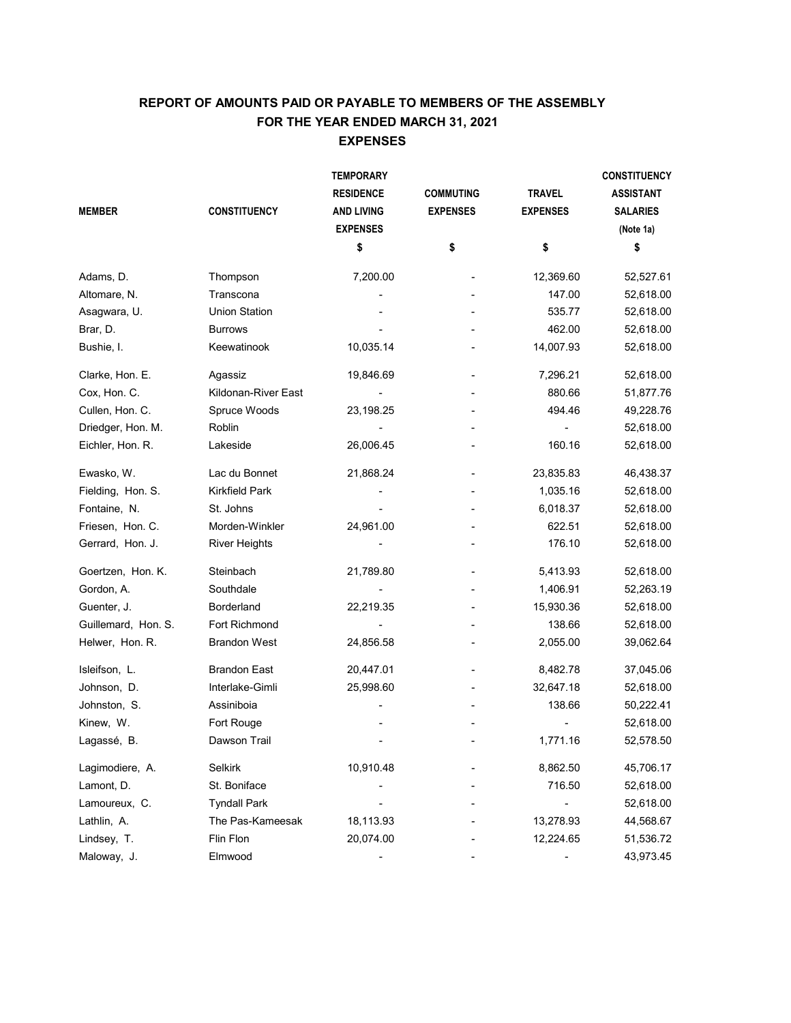# EXPENSES REPORT OF AMOUNTS PAID OR PAYABLE TO MEMBERS OF THE ASSEMBLY FOR THE YEAR ENDED MARCH 31, 2021

|                     |                       | <b>TEMPORARY</b>  |                  |                 | <b>CONSTITUENCY</b> |
|---------------------|-----------------------|-------------------|------------------|-----------------|---------------------|
|                     |                       | <b>RESIDENCE</b>  | <b>COMMUTING</b> | <b>TRAVEL</b>   | <b>ASSISTANT</b>    |
| <b>MEMBER</b>       | <b>CONSTITUENCY</b>   | <b>AND LIVING</b> | <b>EXPENSES</b>  | <b>EXPENSES</b> | <b>SALARIES</b>     |
|                     |                       | <b>EXPENSES</b>   |                  |                 | (Note 1a)           |
|                     |                       | \$                | \$               | \$              | \$                  |
| Adams, D.           | Thompson              | 7,200.00          |                  | 12,369.60       | 52,527.61           |
| Altomare, N.        | Transcona             |                   |                  | 147.00          | 52,618.00           |
| Asagwara, U.        | <b>Union Station</b>  |                   |                  | 535.77          | 52,618.00           |
| Brar, D.            | <b>Burrows</b>        |                   |                  | 462.00          | 52,618.00           |
| Bushie, I.          | Keewatinook           | 10,035.14         |                  | 14,007.93       | 52,618.00           |
| Clarke, Hon. E.     | Agassiz               | 19,846.69         |                  | 7,296.21        | 52,618.00           |
| Cox, Hon. C.        | Kildonan-River East   |                   |                  | 880.66          | 51,877.76           |
| Cullen, Hon. C.     | Spruce Woods          | 23,198.25         |                  | 494.46          | 49,228.76           |
| Driedger, Hon. M.   | Roblin                |                   |                  |                 | 52,618.00           |
| Eichler, Hon. R.    | Lakeside              | 26,006.45         |                  | 160.16          | 52,618.00           |
| Ewasko, W.          | Lac du Bonnet         | 21,868.24         |                  | 23,835.83       | 46,438.37           |
| Fielding, Hon. S.   | <b>Kirkfield Park</b> |                   |                  | 1,035.16        | 52,618.00           |
| Fontaine, N.        | St. Johns             |                   |                  | 6,018.37        | 52,618.00           |
| Friesen, Hon. C.    | Morden-Winkler        | 24,961.00         |                  | 622.51          | 52,618.00           |
| Gerrard, Hon. J.    | <b>River Heights</b>  |                   |                  | 176.10          | 52,618.00           |
| Goertzen, Hon. K.   | Steinbach             | 21,789.80         |                  | 5,413.93        | 52,618.00           |
| Gordon, A.          | Southdale             |                   |                  | 1,406.91        | 52,263.19           |
| Guenter, J.         | Borderland            | 22,219.35         |                  | 15,930.36       | 52,618.00           |
| Guillemard, Hon. S. | Fort Richmond         |                   |                  | 138.66          | 52,618.00           |
| Helwer, Hon. R.     | <b>Brandon West</b>   | 24,856.58         |                  | 2,055.00        | 39,062.64           |
| Isleifson, L.       | <b>Brandon East</b>   | 20,447.01         |                  | 8,482.78        | 37,045.06           |
| Johnson, D.         | Interlake-Gimli       | 25,998.60         |                  | 32,647.18       | 52,618.00           |
| Johnston, S.        | Assiniboia            |                   |                  | 138.66          | 50,222.41           |
| Kinew, W.           | Fort Rouge            |                   |                  |                 | 52,618.00           |
| Lagassé, B.         | Dawson Trail          |                   |                  | 1,771.16        | 52,578.50           |
| Lagimodiere, A.     | <b>Selkirk</b>        | 10,910.48         |                  | 8,862.50        | 45,706.17           |
| Lamont, D.          | St. Boniface          |                   |                  | 716.50          | 52,618.00           |
| Lamoureux, C.       | <b>Tyndall Park</b>   |                   |                  |                 | 52,618.00           |
| Lathlin, A.         | The Pas-Kameesak      | 18,113.93         |                  | 13,278.93       | 44,568.67           |
| Lindsey, T.         | Flin Flon             | 20,074.00         |                  | 12,224.65       | 51,536.72           |
| Maloway, J.         | Elmwood               |                   |                  |                 | 43,973.45           |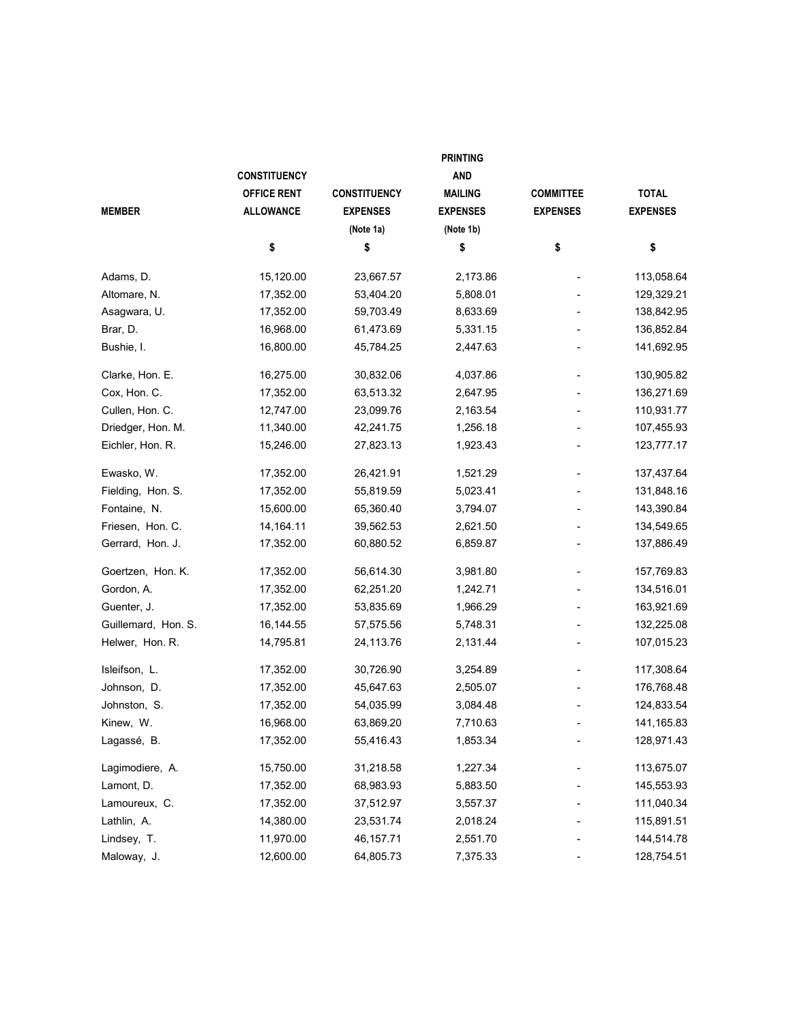|                     | <b>PRINTING</b>     |                     |                 |                  |                 |  |  |  |
|---------------------|---------------------|---------------------|-----------------|------------------|-----------------|--|--|--|
|                     | <b>CONSTITUENCY</b> |                     | <b>AND</b>      |                  |                 |  |  |  |
|                     | <b>OFFICE RENT</b>  | <b>CONSTITUENCY</b> | <b>MAILING</b>  | <b>COMMITTEE</b> | <b>TOTAL</b>    |  |  |  |
| <b>MEMBER</b>       | <b>ALLOWANCE</b>    | <b>EXPENSES</b>     | <b>EXPENSES</b> | <b>EXPENSES</b>  | <b>EXPENSES</b> |  |  |  |
|                     |                     | (Note 1a)           | (Note 1b)       |                  |                 |  |  |  |
|                     | \$                  | \$                  | \$              | \$               | \$              |  |  |  |
| Adams, D.           | 15,120.00           | 23,667.57           | 2,173.86        |                  | 113,058.64      |  |  |  |
| Altomare, N.        | 17,352.00           | 53,404.20           | 5,808.01        |                  | 129,329.21      |  |  |  |
| Asagwara, U.        | 17,352.00           | 59,703.49           | 8,633.69        |                  | 138,842.95      |  |  |  |
| Brar, D.            | 16,968.00           | 61,473.69           | 5,331.15        |                  | 136,852.84      |  |  |  |
| Bushie, I.          | 16,800.00           | 45,784.25           | 2,447.63        |                  | 141,692.95      |  |  |  |
| Clarke, Hon. E.     | 16,275.00           | 30,832.06           | 4,037.86        |                  | 130,905.82      |  |  |  |
| Cox, Hon. C.        | 17,352.00           | 63,513.32           | 2,647.95        |                  | 136,271.69      |  |  |  |
| Cullen, Hon. C.     | 12,747.00           | 23,099.76           | 2,163.54        |                  | 110,931.77      |  |  |  |
| Driedger, Hon. M.   | 11,340.00           | 42,241.75           | 1,256.18        |                  | 107,455.93      |  |  |  |
| Eichler, Hon. R.    | 15,246.00           | 27,823.13           | 1,923.43        |                  | 123,777.17      |  |  |  |
| Ewasko, W.          | 17,352.00           | 26,421.91           | 1,521.29        |                  | 137,437.64      |  |  |  |
| Fielding, Hon. S.   | 17,352.00           | 55,819.59           | 5,023.41        |                  | 131,848.16      |  |  |  |
| Fontaine, N.        | 15,600.00           | 65,360.40           | 3,794.07        |                  | 143,390.84      |  |  |  |
| Friesen, Hon. C.    | 14, 164. 11         | 39,562.53           | 2,621.50        |                  | 134,549.65      |  |  |  |
| Gerrard, Hon. J.    | 17,352.00           | 60,880.52           | 6,859.87        |                  | 137,886.49      |  |  |  |
| Goertzen, Hon. K.   | 17,352.00           | 56,614.30           | 3,981.80        | $\blacksquare$   | 157,769.83      |  |  |  |
| Gordon, A.          | 17,352.00           | 62,251.20           | 1,242.71        | $\blacksquare$   | 134,516.01      |  |  |  |
| Guenter, J.         | 17,352.00           | 53,835.69           | 1,966.29        |                  | 163,921.69      |  |  |  |
| Guillemard, Hon. S. | 16,144.55           | 57,575.56           | 5,748.31        |                  | 132,225.08      |  |  |  |
| Helwer, Hon. R.     | 14,795.81           | 24,113.76           | 2,131.44        |                  | 107,015.23      |  |  |  |
| Isleifson, L.       | 17,352.00           | 30,726.90           | 3,254.89        |                  | 117,308.64      |  |  |  |
| Johnson, D.         | 17,352.00           | 45,647.63           | 2,505.07        |                  | 176,768.48      |  |  |  |
| Johnston, S.        | 17,352.00           | 54,035.99           | 3,084.48        |                  | 124,833.54      |  |  |  |
| Kinew, W.           | 16,968.00           | 63,869.20           | 7,710.63        |                  | 141,165.83      |  |  |  |
| Lagassé, B.         | 17,352.00           | 55,416.43           | 1,853.34        |                  | 128,971.43      |  |  |  |
| Lagimodiere, A.     | 15,750.00           | 31,218.58           | 1,227.34        |                  | 113,675.07      |  |  |  |
| Lamont, D.          | 17,352.00           | 68,983.93           | 5,883.50        |                  | 145,553.93      |  |  |  |
| Lamoureux, C.       | 17,352.00           | 37,512.97           | 3,557.37        |                  | 111,040.34      |  |  |  |
| Lathlin, A.         | 14,380.00           | 23,531.74           | 2,018.24        |                  | 115,891.51      |  |  |  |
| Lindsey, T.         | 11,970.00           | 46,157.71           | 2,551.70        |                  | 144,514.78      |  |  |  |
| Maloway, J.         | 12,600.00           | 64,805.73           | 7,375.33        |                  | 128,754.51      |  |  |  |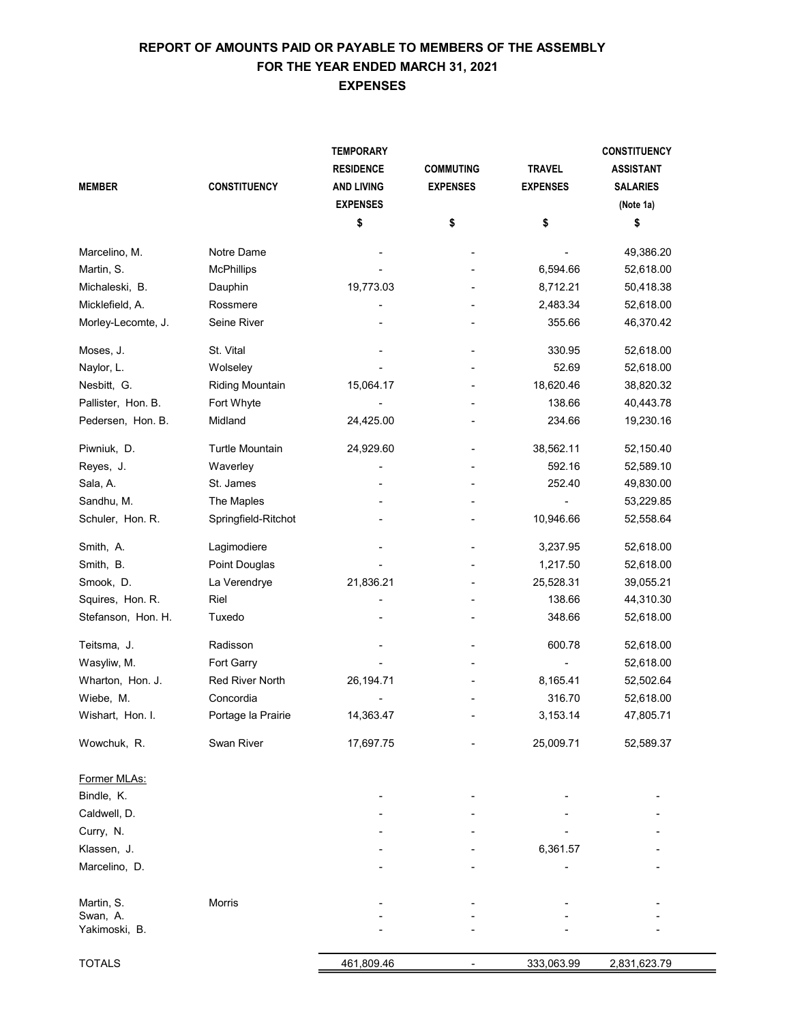# EXPENSES REPORT OF AMOUNTS PAID OR PAYABLE TO MEMBERS OF THE ASSEMBLY FOR THE YEAR ENDED MARCH 31, 2021

|                    |                        | <b>TEMPORARY</b>  |                  |                 | <b>CONSTITUENCY</b> |
|--------------------|------------------------|-------------------|------------------|-----------------|---------------------|
|                    |                        | <b>RESIDENCE</b>  | <b>COMMUTING</b> | <b>TRAVEL</b>   | <b>ASSISTANT</b>    |
| <b>MEMBER</b>      | <b>CONSTITUENCY</b>    | <b>AND LIVING</b> | <b>EXPENSES</b>  | <b>EXPENSES</b> | <b>SALARIES</b>     |
|                    |                        | <b>EXPENSES</b>   |                  |                 | (Note 1a)           |
|                    |                        | \$                | \$               | \$              | \$                  |
| Marcelino, M.      | Notre Dame             |                   |                  |                 | 49,386.20           |
| Martin, S.         | <b>McPhillips</b>      |                   |                  | 6,594.66        | 52,618.00           |
| Michaleski, B.     | Dauphin                | 19,773.03         |                  | 8,712.21        | 50,418.38           |
| Micklefield, A.    | Rossmere               |                   |                  | 2,483.34        | 52,618.00           |
| Morley-Lecomte, J. | Seine River            |                   |                  | 355.66          | 46,370.42           |
| Moses, J.          | St. Vital              |                   |                  | 330.95          | 52,618.00           |
| Naylor, L.         | Wolseley               |                   |                  | 52.69           | 52,618.00           |
| Nesbitt, G.        | <b>Riding Mountain</b> | 15,064.17         |                  | 18,620.46       | 38,820.32           |
| Pallister, Hon. B. | Fort Whyte             |                   |                  | 138.66          | 40,443.78           |
| Pedersen, Hon. B.  | Midland                | 24,425.00         |                  | 234.66          | 19,230.16           |
| Piwniuk, D.        | Turtle Mountain        | 24,929.60         |                  | 38,562.11       | 52,150.40           |
| Reyes, J.          | Waverley               |                   |                  | 592.16          | 52,589.10           |
| Sala, A.           | St. James              |                   |                  | 252.40          | 49,830.00           |
| Sandhu, M.         | The Maples             |                   |                  |                 | 53,229.85           |
| Schuler, Hon. R.   | Springfield-Ritchot    |                   |                  | 10,946.66       | 52,558.64           |
| Smith, A.          | Lagimodiere            |                   |                  | 3,237.95        | 52,618.00           |
| Smith, B.          | Point Douglas          |                   |                  | 1,217.50        | 52,618.00           |
| Smook, D.          | La Verendrye           | 21,836.21         |                  | 25,528.31       | 39,055.21           |
| Squires, Hon. R.   | Riel                   |                   |                  | 138.66          | 44,310.30           |
| Stefanson, Hon. H. | Tuxedo                 |                   |                  | 348.66          | 52,618.00           |
| Teitsma, J.        | Radisson               |                   |                  | 600.78          | 52,618.00           |
| Wasyliw, M.        | Fort Garry             |                   |                  |                 | 52,618.00           |
| Wharton, Hon. J.   | <b>Red River North</b> | 26, 194. 71       |                  | 8,165.41        | 52,502.64           |
| Wiebe, M.          | Concordia              |                   |                  | 316.70          | 52,618.00           |
| Wishart, Hon. I.   | Portage la Prairie     | 14,363.47         |                  | 3,153.14        | 47,805.71           |
| Wowchuk, R.        | Swan River             | 17,697.75         |                  | 25,009.71       | 52,589.37           |
| Former MLAs:       |                        |                   |                  |                 |                     |
| Bindle, K.         |                        |                   |                  |                 |                     |
| Caldwell, D.       |                        |                   |                  |                 |                     |
| Curry, N.          |                        |                   |                  |                 |                     |
| Klassen, J.        |                        |                   |                  | 6,361.57        |                     |
| Marcelino, D.      |                        |                   |                  |                 |                     |
| Martin, S.         | Morris                 |                   |                  |                 |                     |
| Swan, A.           |                        |                   |                  |                 |                     |
| Yakimoski, B.      |                        |                   |                  |                 |                     |
| <b>TOTALS</b>      |                        | 461,809.46        |                  | 333,063.99      | 2,831,623.79        |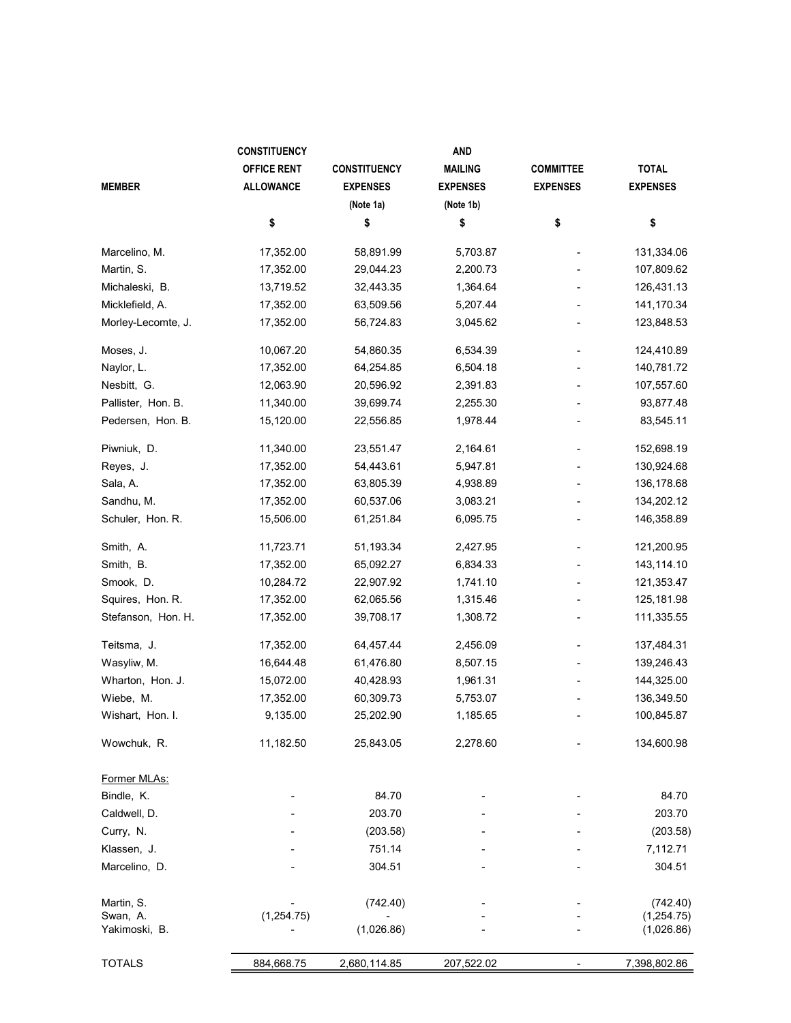|                    | <b>CONSTITUENCY</b> |                     | <b>AND</b>      |                  |                 |
|--------------------|---------------------|---------------------|-----------------|------------------|-----------------|
|                    | <b>OFFICE RENT</b>  | <b>CONSTITUENCY</b> | <b>MAILING</b>  | <b>COMMITTEE</b> | <b>TOTAL</b>    |
| <b>MEMBER</b>      | <b>ALLOWANCE</b>    | <b>EXPENSES</b>     | <b>EXPENSES</b> | <b>EXPENSES</b>  | <b>EXPENSES</b> |
|                    |                     | (Note 1a)           | (Note 1b)       |                  |                 |
|                    | \$                  | \$                  | \$              | \$               | \$              |
| Marcelino, M.      | 17,352.00           | 58,891.99           | 5,703.87        |                  | 131,334.06      |
| Martin, S.         | 17,352.00           | 29,044.23           | 2,200.73        |                  | 107,809.62      |
| Michaleski, B.     | 13,719.52           | 32,443.35           | 1,364.64        |                  | 126,431.13      |
| Micklefield, A.    | 17,352.00           | 63,509.56           | 5,207.44        |                  | 141,170.34      |
| Morley-Lecomte, J. | 17,352.00           | 56,724.83           | 3,045.62        |                  | 123,848.53      |
| Moses, J.          | 10,067.20           | 54,860.35           | 6,534.39        |                  | 124,410.89      |
| Naylor, L.         | 17,352.00           | 64,254.85           | 6,504.18        |                  | 140,781.72      |
| Nesbitt, G.        | 12,063.90           | 20,596.92           | 2,391.83        |                  | 107,557.60      |
| Pallister, Hon. B. | 11,340.00           | 39,699.74           | 2,255.30        |                  | 93,877.48       |
| Pedersen, Hon. B.  | 15,120.00           | 22,556.85           | 1,978.44        |                  | 83,545.11       |
| Piwniuk, D.        | 11,340.00           | 23,551.47           | 2,164.61        |                  | 152,698.19      |
| Reyes, J.          | 17,352.00           | 54,443.61           | 5,947.81        |                  | 130,924.68      |
| Sala, A.           | 17,352.00           | 63,805.39           | 4,938.89        |                  | 136,178.68      |
| Sandhu, M.         | 17,352.00           | 60,537.06           | 3,083.21        |                  | 134,202.12      |
| Schuler, Hon. R.   | 15,506.00           | 61,251.84           | 6,095.75        |                  | 146,358.89      |
| Smith, A.          | 11,723.71           | 51,193.34           | 2,427.95        |                  | 121,200.95      |
| Smith, B.          | 17,352.00           | 65,092.27           | 6,834.33        |                  | 143,114.10      |
| Smook, D.          | 10,284.72           | 22,907.92           | 1,741.10        |                  | 121,353.47      |
| Squires, Hon. R.   | 17,352.00           | 62,065.56           | 1,315.46        |                  | 125,181.98      |
| Stefanson, Hon. H. | 17,352.00           | 39,708.17           | 1,308.72        |                  | 111,335.55      |
| Teitsma, J.        | 17,352.00           | 64,457.44           | 2,456.09        |                  | 137,484.31      |
| Wasyliw, M.        | 16,644.48           | 61,476.80           | 8,507.15        |                  | 139,246.43      |
| Wharton, Hon. J.   | 15,072.00           | 40,428.93           | 1,961.31        |                  | 144,325.00      |
| Wiebe, M.          | 17,352.00           | 60,309.73           | 5,753.07        |                  | 136,349.50      |
| Wishart, Hon. I.   | 9,135.00            | 25,202.90           | 1,185.65        |                  | 100,845.87      |
| Wowchuk, R.        | 11,182.50           | 25,843.05           | 2,278.60        |                  | 134,600.98      |
| Former MLAs:       |                     |                     |                 |                  |                 |
| Bindle, K.         |                     | 84.70               |                 |                  | 84.70           |
| Caldwell, D.       |                     | 203.70              |                 |                  | 203.70          |
| Curry, N.          |                     | (203.58)            |                 |                  | (203.58)        |
| Klassen, J.        |                     | 751.14              |                 |                  | 7,112.71        |
| Marcelino, D.      |                     | 304.51              |                 |                  | 304.51          |
| Martin, S.         |                     | (742.40)            |                 |                  | (742.40)        |
| Swan, A.           | (1,254.75)          |                     |                 |                  | (1, 254.75)     |
| Yakimoski, B.      |                     | (1,026.86)          |                 |                  | (1,026.86)      |
| <b>TOTALS</b>      | 884,668.75          | 2,680,114.85        | 207,522.02      |                  | 7,398,802.86    |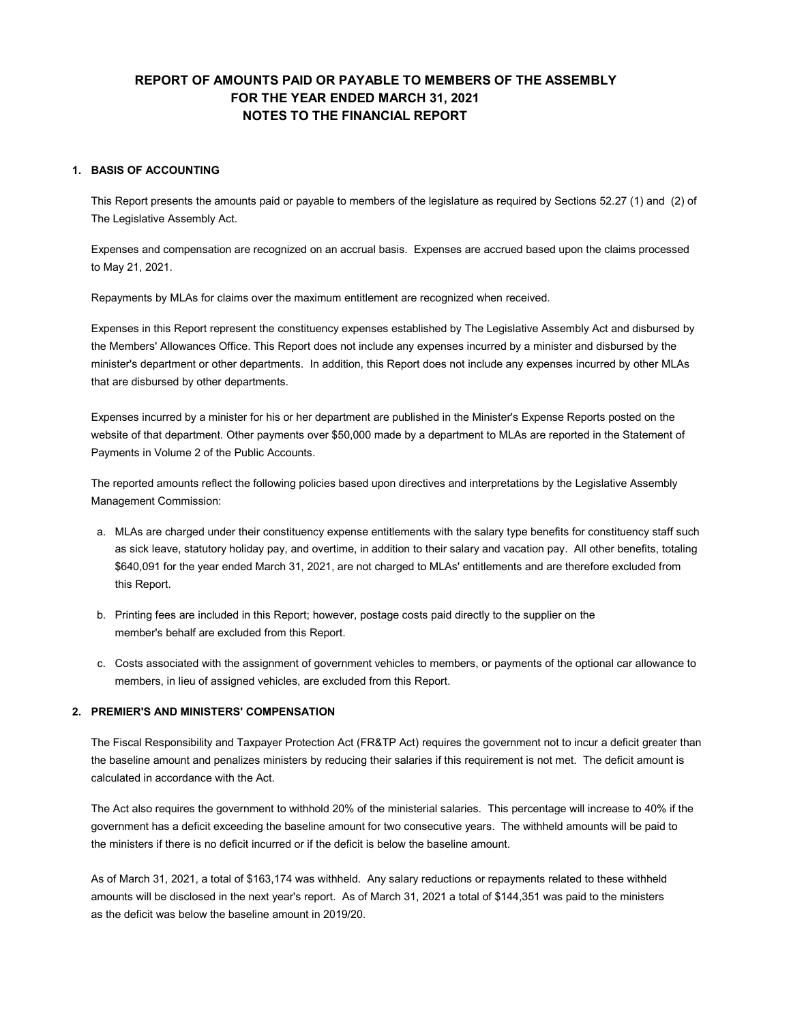## REPORT OF AMOUNTS PAID OR PAYABLE TO MEMBERS OF THE ASSEMBLY FOR THE YEAR ENDED MARCH 31, 2021 NOTES TO THE FINANCIAL REPORT

#### 1. BASIS OF ACCOUNTING

This Report presents the amounts paid or payable to members of the legislature as required by Sections 52.27 (1) and (2) of The Legislative Assembly Act.

Expenses and compensation are recognized on an accrual basis. Expenses are accrued based upon the claims processed to May 21, 2021.

Repayments by MLAs for claims over the maximum entitlement are recognized when received.

Expenses in this Report represent the constituency expenses established by The Legislative Assembly Act and disbursed by the Members' Allowances Office. This Report does not include any expenses incurred by a minister and disbursed by the minister's department or other departments. In addition, this Report does not include any expenses incurred by other MLAs that are disbursed by other departments.

Expenses incurred by a minister for his or her department are published in the Minister's Expense Reports posted on the website of that department. Other payments over \$50,000 made by a department to MLAs are reported in the Statement of Payments in Volume 2 of the Public Accounts.

The reported amounts reflect the following policies based upon directives and interpretations by the Legislative Assembly Management Commission:

- a. MLAs are charged under their constituency expense entitlements with the salary type benefits for constituency staff such as sick leave, statutory holiday pay, and overtime, in addition to their salary and vacation pay. All other benefits, totaling \$640,091 for the year ended March 31, 2021, are not charged to MLAs' entitlements and are therefore excluded from this Report.
- b. Printing fees are included in this Report; however, postage costs paid directly to the supplier on the member's behalf are excluded from this Report.
- c. Costs associated with the assignment of government vehicles to members, or payments of the optional car allowance to members, in lieu of assigned vehicles, are excluded from this Report.

#### 2. PREMIER'S AND MINISTERS' COMPENSATION

The Fiscal Responsibility and Taxpayer Protection Act (FR&TP Act) requires the government not to incur a deficit greater than the baseline amount and penalizes ministers by reducing their salaries if this requirement is not met. The deficit amount is calculated in accordance with the Act.

The Act also requires the government to withhold 20% of the ministerial salaries. This percentage will increase to 40% if the government has a deficit exceeding the baseline amount for two consecutive years. The withheld amounts will be paid to the ministers if there is no deficit incurred or if the deficit is below the baseline amount.

As of March 31, 2021, a total of \$163,174 was withheld. Any salary reductions or repayments related to these withheld amounts will be disclosed in the next year's report. As of March 31, 2021 a total of \$144,351 was paid to the ministers as the deficit was below the baseline amount in 2019/20.